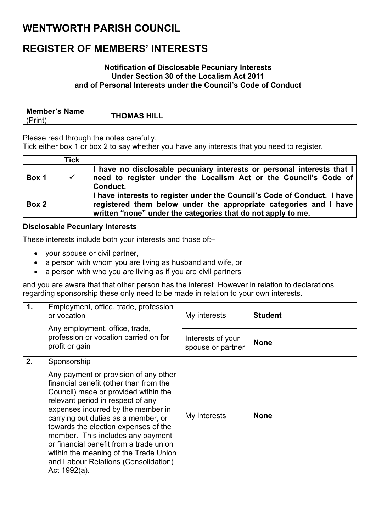### **WENTWORTH PARISH COUNCIL**

### **REGISTER OF MEMBERS' INTERESTS**

#### **Notification of Disclosable Pecuniary Interests Under Section 30 of the Localism Act 2011 and of Personal Interests under the Council's Code of Conduct**

| Member's Name | <b>THOMAS HILL</b> |
|---------------|--------------------|
| (Print)       |                    |

Please read through the notes carefully.

Tick either box 1 or box 2 to say whether you have any interests that you need to register.

|       | Tick |                                                                                                                                                                                                               |
|-------|------|---------------------------------------------------------------------------------------------------------------------------------------------------------------------------------------------------------------|
| Box 1 |      | I have no disclosable pecuniary interests or personal interests that I<br>need to register under the Localism Act or the Council's Code of<br>Conduct.                                                        |
| Box 2 |      | I have interests to register under the Council's Code of Conduct. I have<br>registered them below under the appropriate categories and I have<br>written "none" under the categories that do not apply to me. |

#### **Disclosable Pecuniary Interests**

These interests include both your interests and those of:–

- your spouse or civil partner,
- a person with whom you are living as husband and wife, or
- a person with who you are living as if you are civil partners

and you are aware that that other person has the interest However in relation to declarations regarding sponsorship these only need to be made in relation to your own interests.

| $\mathbf 1$ . | Employment, office, trade, profession<br>or vocation                                                                                                                                                                                                                                                                                                                                                                                                               | My interests                           | <b>Student</b> |
|---------------|--------------------------------------------------------------------------------------------------------------------------------------------------------------------------------------------------------------------------------------------------------------------------------------------------------------------------------------------------------------------------------------------------------------------------------------------------------------------|----------------------------------------|----------------|
|               | Any employment, office, trade,<br>profession or vocation carried on for<br>profit or gain                                                                                                                                                                                                                                                                                                                                                                          | Interests of your<br>spouse or partner | <b>None</b>    |
| 2.            | Sponsorship                                                                                                                                                                                                                                                                                                                                                                                                                                                        |                                        |                |
|               | Any payment or provision of any other<br>financial benefit (other than from the<br>Council) made or provided within the<br>relevant period in respect of any<br>expenses incurred by the member in<br>carrying out duties as a member, or<br>towards the election expenses of the<br>member. This includes any payment<br>or financial benefit from a trade union<br>within the meaning of the Trade Union<br>and Labour Relations (Consolidation)<br>Act 1992(a). | My interests                           | <b>None</b>    |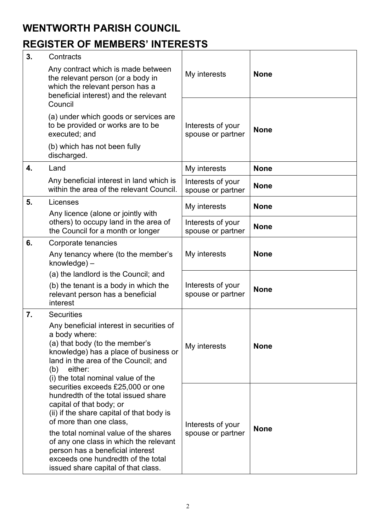## **WENTWORTH PARISH COUNCIL**

# **REGISTER OF MEMBERS' INTERESTS**

| 3. | Contracts                                                                                                                                                                                                                                                                                                                                                                        |                                        |             |
|----|----------------------------------------------------------------------------------------------------------------------------------------------------------------------------------------------------------------------------------------------------------------------------------------------------------------------------------------------------------------------------------|----------------------------------------|-------------|
|    | Any contract which is made between<br>the relevant person (or a body in<br>which the relevant person has a<br>beneficial interest) and the relevant                                                                                                                                                                                                                              | My interests                           | <b>None</b> |
|    | Council                                                                                                                                                                                                                                                                                                                                                                          |                                        |             |
|    | (a) under which goods or services are<br>to be provided or works are to be<br>executed; and                                                                                                                                                                                                                                                                                      | Interests of your<br>spouse or partner | <b>None</b> |
|    | (b) which has not been fully<br>discharged.                                                                                                                                                                                                                                                                                                                                      |                                        |             |
| 4. | Land                                                                                                                                                                                                                                                                                                                                                                             | My interests                           | <b>None</b> |
|    | Any beneficial interest in land which is<br>within the area of the relevant Council.                                                                                                                                                                                                                                                                                             | Interests of your<br>spouse or partner | <b>None</b> |
| 5. | Licenses<br>Any licence (alone or jointly with                                                                                                                                                                                                                                                                                                                                   | My interests                           | <b>None</b> |
|    | others) to occupy land in the area of<br>the Council for a month or longer                                                                                                                                                                                                                                                                                                       | Interests of your<br>spouse or partner | <b>None</b> |
| 6. | Corporate tenancies                                                                                                                                                                                                                                                                                                                                                              | My interests                           |             |
|    | Any tenancy where (to the member's<br>knowledge) -                                                                                                                                                                                                                                                                                                                               |                                        | <b>None</b> |
|    | (a) the landlord is the Council; and                                                                                                                                                                                                                                                                                                                                             |                                        |             |
|    | (b) the tenant is a body in which the<br>relevant person has a beneficial<br>interest                                                                                                                                                                                                                                                                                            | Interests of your<br>spouse or partner | <b>None</b> |
| 7. | <b>Securities</b>                                                                                                                                                                                                                                                                                                                                                                |                                        |             |
|    | Any beneficial interest in securities of<br>a body where:<br>(a) that body (to the member's<br>knowledge) has a place of business or<br>land in the area of the Council; and<br>either:<br>(b)<br>(i) the total nominal value of the                                                                                                                                             | My interests                           | <b>None</b> |
|    | securities exceeds £25,000 or one<br>hundredth of the total issued share<br>capital of that body; or<br>(ii) if the share capital of that body is<br>of more than one class,<br>the total nominal value of the shares<br>of any one class in which the relevant<br>person has a beneficial interest<br>exceeds one hundredth of the total<br>issued share capital of that class. | Interests of your<br>spouse or partner | <b>None</b> |